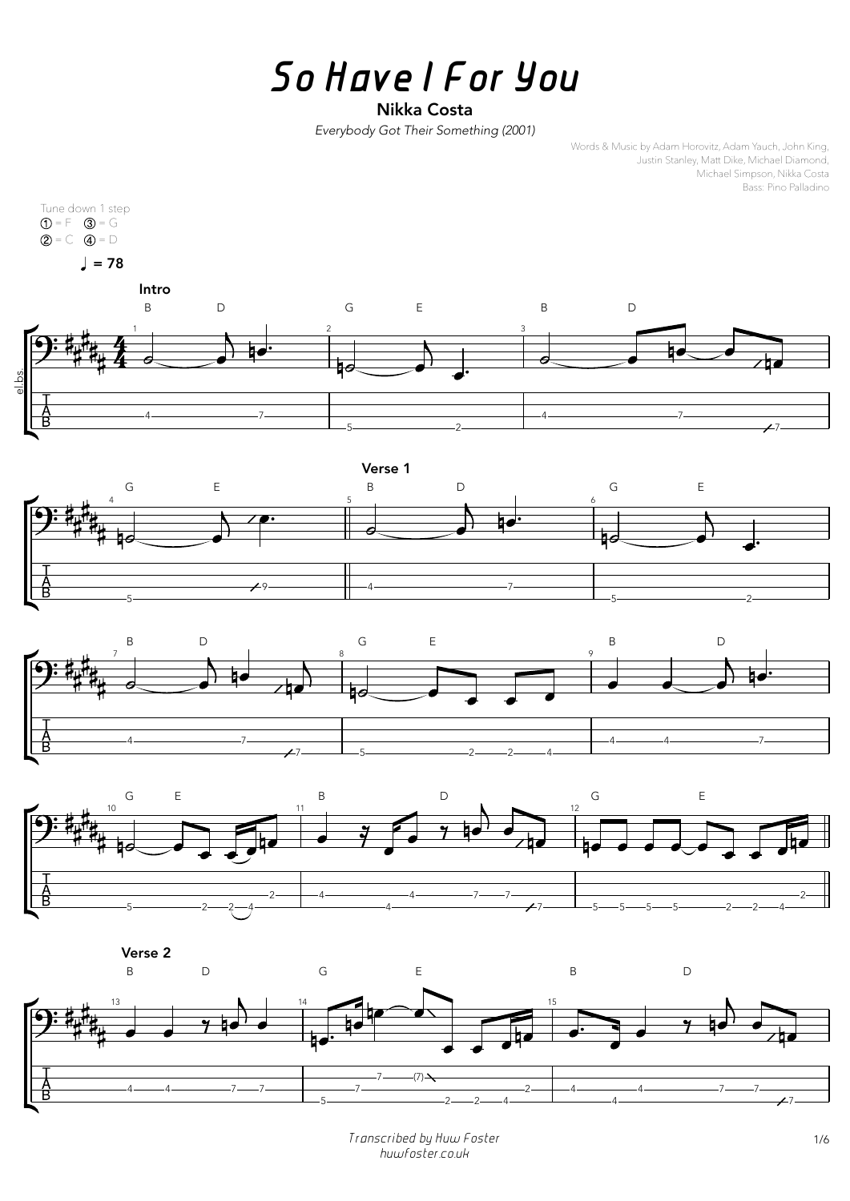## *So Have I For You*

## Nikka Costa

*Everybody Got Their Something (2001)*

Words & Music by Adam Horovitz, Adam Yauch, John King, Justin Stanley, Matt Dike, Michael Diamond, Michael Simpson, Nikka Costa Bass: Pino Palladino



*Transcribed by Huw Foster* 1/6 *huwfoster.co.uk*







Verse 2

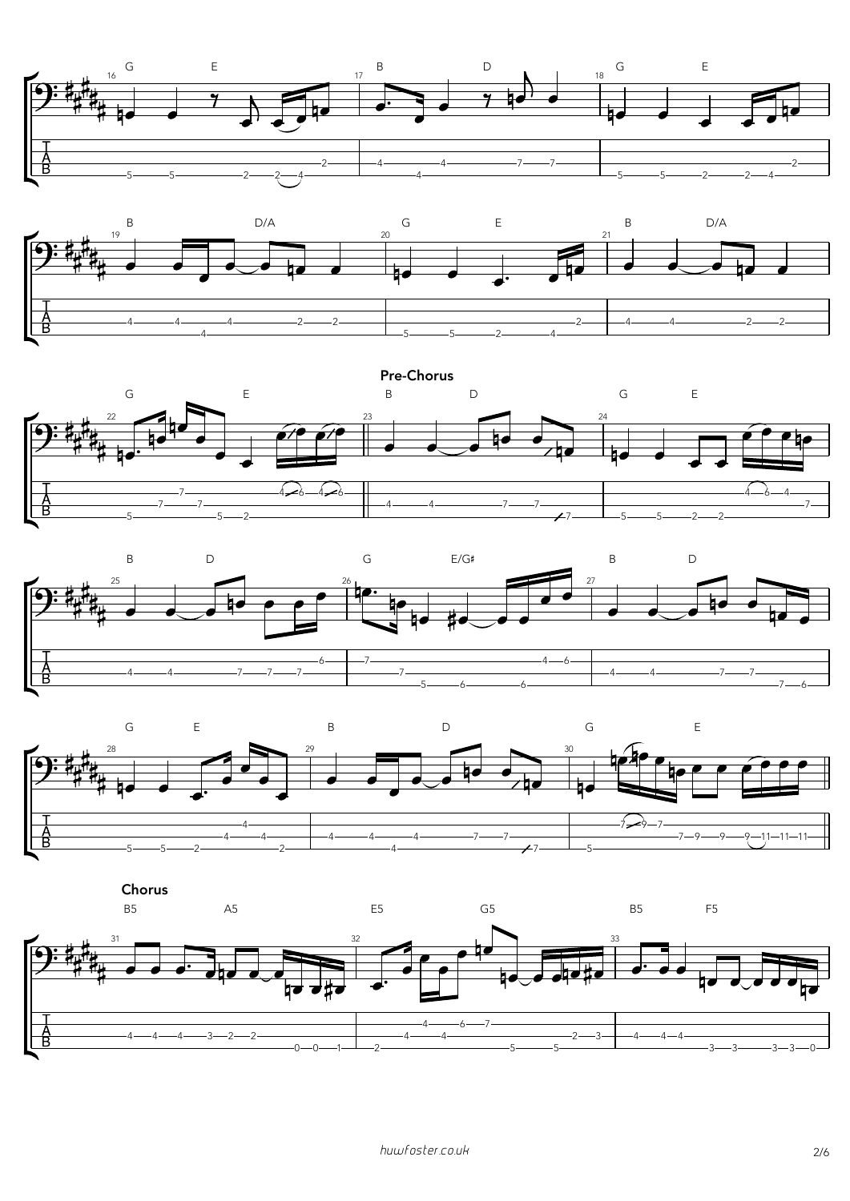









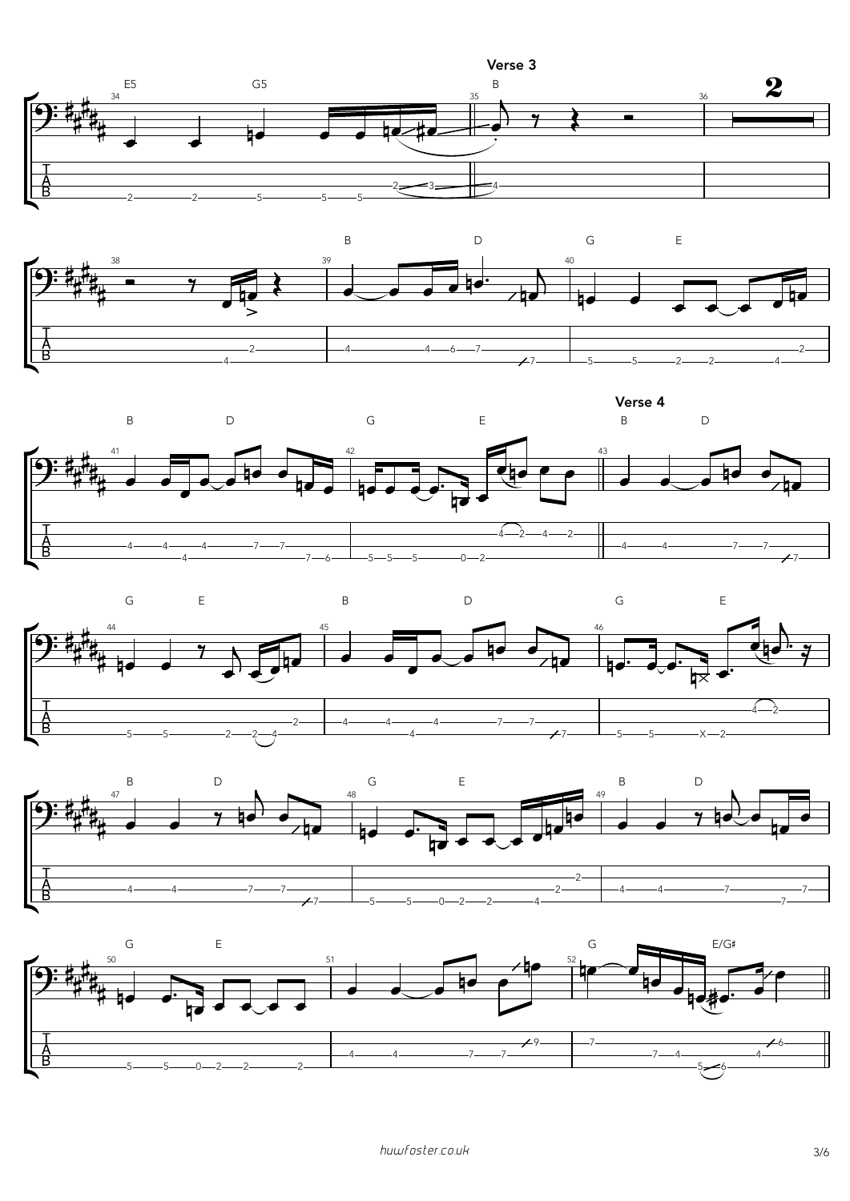









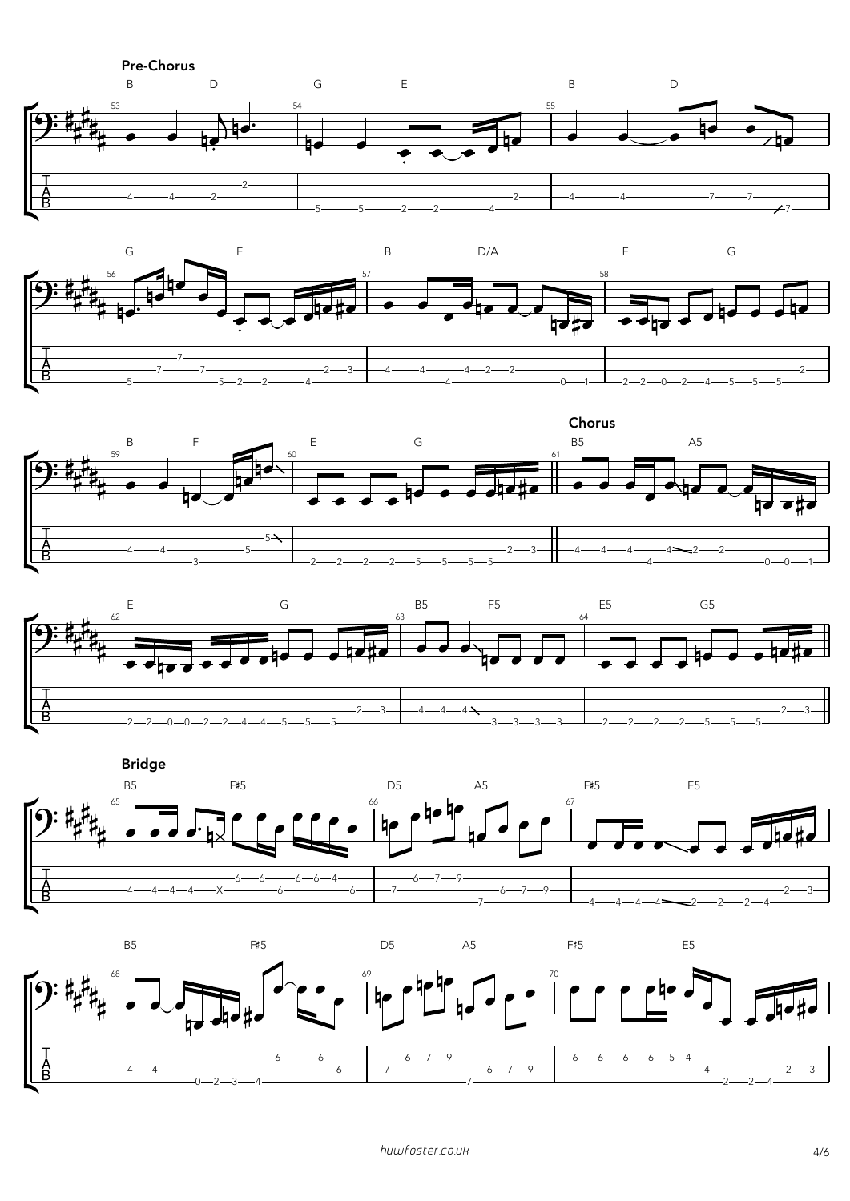











Bridge



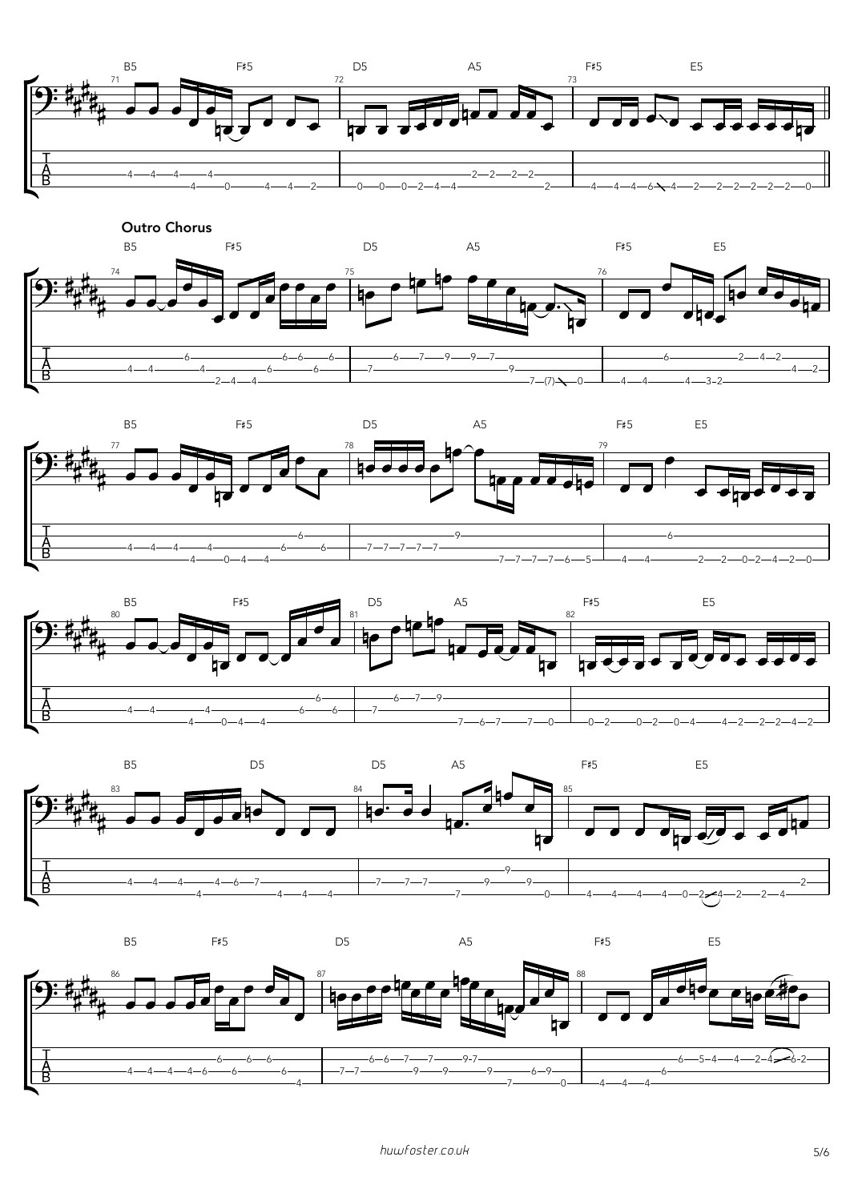